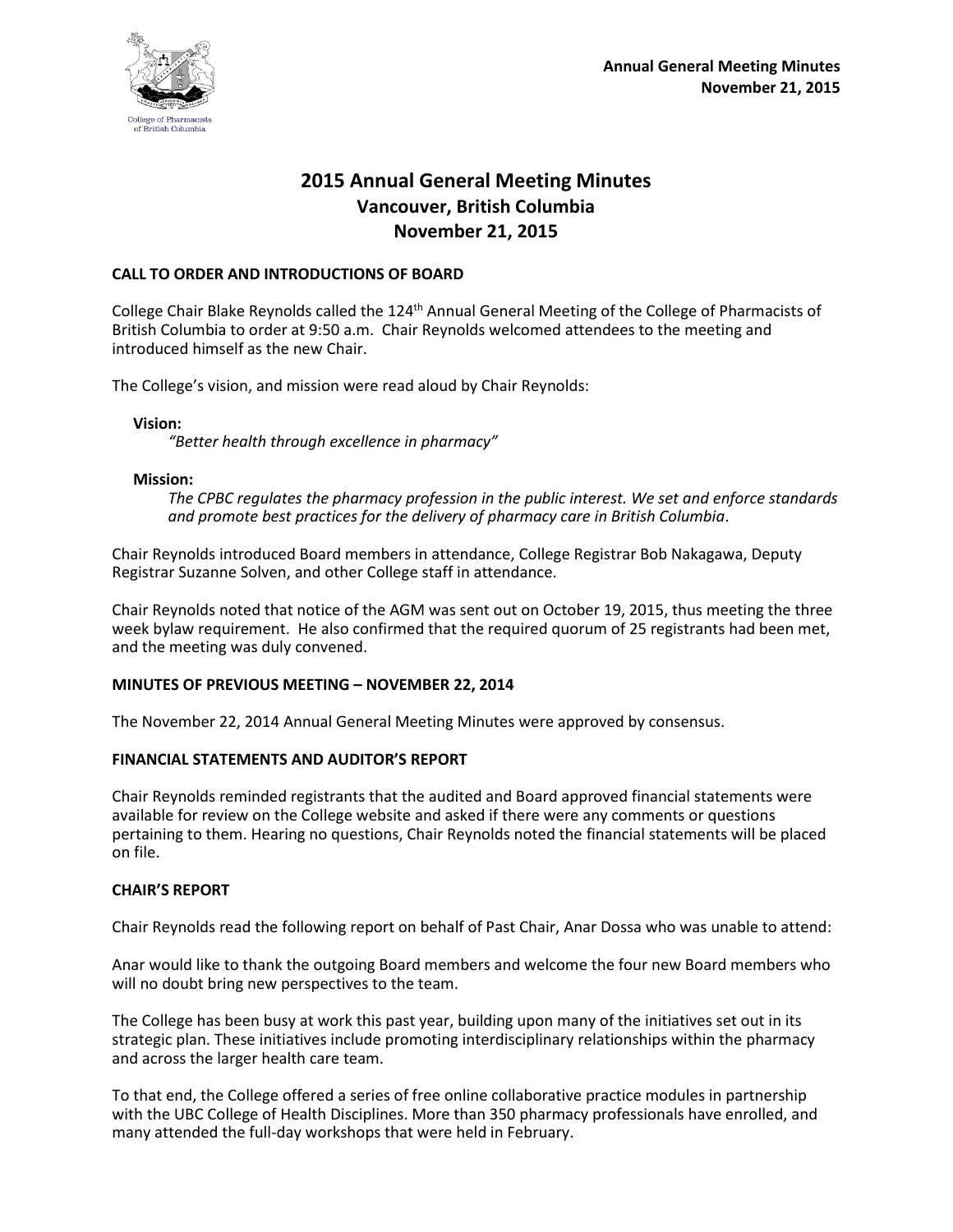

# **2015 Annual General Meeting Minutes Vancouver, British Columbia November 21, 2015**

## **CALL TO ORDER AND INTRODUCTIONS OF BOARD**

College Chair Blake Reynolds called the 124<sup>th</sup> Annual General Meeting of the College of Pharmacists of British Columbia to order at 9:50 a.m. Chair Reynolds welcomed attendees to the meeting and introduced himself as the new Chair.

The College's vision, and mission were read aloud by Chair Reynolds:

**Vision:**

*"Better health through excellence in pharmacy"*

#### **Mission:**

*The CPBC regulates the pharmacy profession in the public interest. We set and enforce standards and promote best practices for the delivery of pharmacy care in British Columbia*.

Chair Reynolds introduced Board members in attendance, College Registrar Bob Nakagawa, Deputy Registrar Suzanne Solven, and other College staff in attendance.

Chair Reynolds noted that notice of the AGM was sent out on October 19, 2015, thus meeting the three week bylaw requirement. He also confirmed that the required quorum of 25 registrants had been met, and the meeting was duly convened.

### **MINUTES OF PREVIOUS MEETING – NOVEMBER 22, 2014**

The November 22, 2014 Annual General Meeting Minutes were approved by consensus.

### **FINANCIAL STATEMENTS AND AUDITOR'S REPORT**

Chair Reynolds reminded registrants that the audited and Board approved financial statements were available for review on the College website and asked if there were any comments or questions pertaining to them. Hearing no questions, Chair Reynolds noted the financial statements will be placed on file.

### **CHAIR'S REPORT**

Chair Reynolds read the following report on behalf of Past Chair, Anar Dossa who was unable to attend:

Anar would like to thank the outgoing Board members and welcome the four new Board members who will no doubt bring new perspectives to the team.

The College has been busy at work this past year, building upon many of the initiatives set out in its strategic plan. These initiatives include promoting interdisciplinary relationships within the pharmacy and across the larger health care team.

To that end, the College offered a series of free online collaborative practice modules in partnership with the UBC College of Health Disciplines. More than 350 pharmacy professionals have enrolled, and many attended the full-day workshops that were held in February.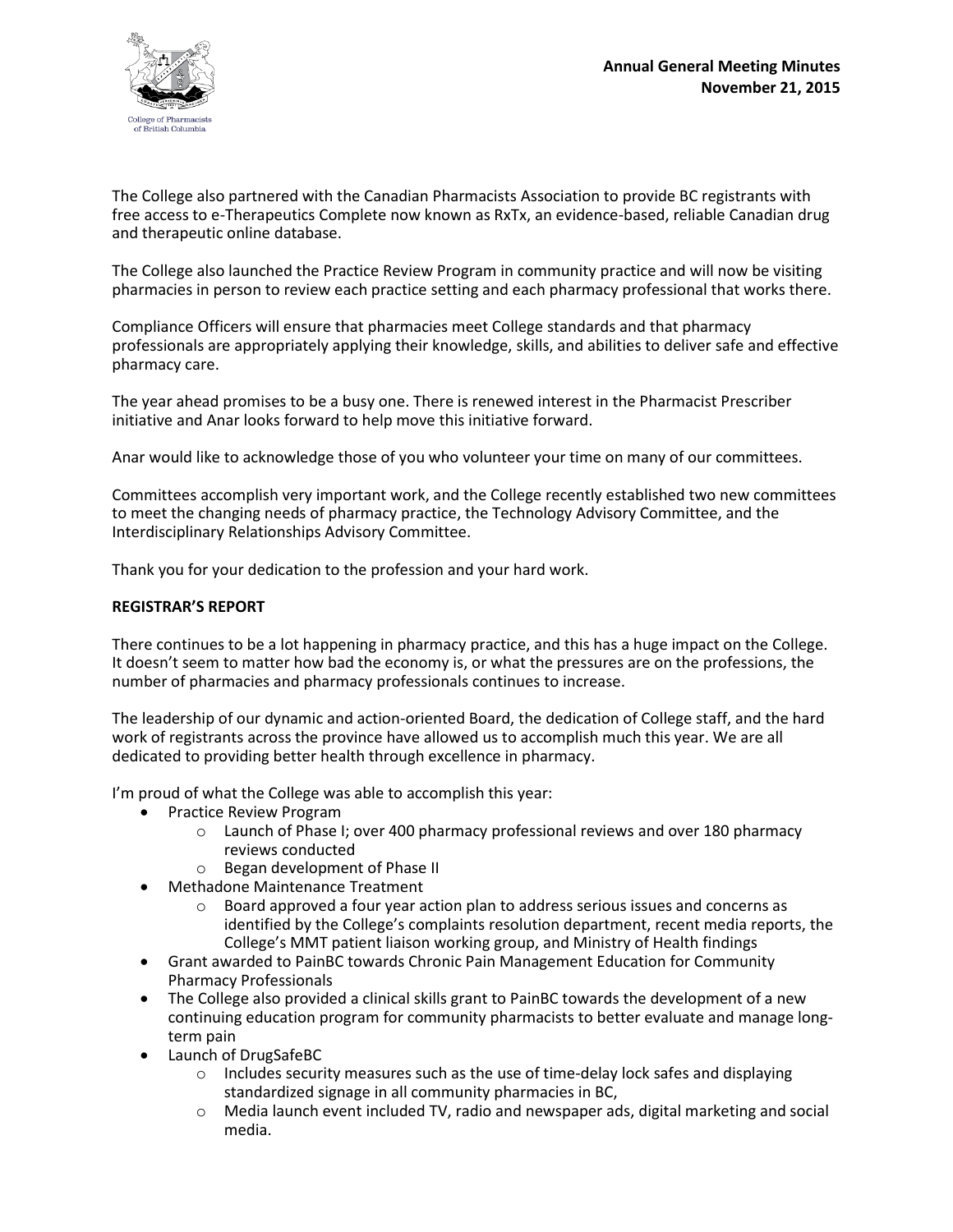

The College also partnered with the Canadian Pharmacists Association to provide BC registrants with free access to e-Therapeutics Complete now known as RxTx, an evidence-based, reliable Canadian drug and therapeutic online database.

The College also launched the Practice Review Program in community practice and will now be visiting pharmacies in person to review each practice setting and each pharmacy professional that works there.

Compliance Officers will ensure that pharmacies meet College standards and that pharmacy professionals are appropriately applying their knowledge, skills, and abilities to deliver safe and effective pharmacy care.

The year ahead promises to be a busy one. There is renewed interest in the Pharmacist Prescriber initiative and Anar looks forward to help move this initiative forward.

Anar would like to acknowledge those of you who volunteer your time on many of our committees.

Committees accomplish very important work, and the College recently established two new committees to meet the changing needs of pharmacy practice, the Technology Advisory Committee, and the Interdisciplinary Relationships Advisory Committee.

Thank you for your dedication to the profession and your hard work.

#### **REGISTRAR'S REPORT**

There continues to be a lot happening in pharmacy practice, and this has a huge impact on the College. It doesn't seem to matter how bad the economy is, or what the pressures are on the professions, the number of pharmacies and pharmacy professionals continues to increase.

The leadership of our dynamic and action-oriented Board, the dedication of College staff, and the hard work of registrants across the province have allowed us to accomplish much this year. We are all dedicated to providing better health through excellence in pharmacy.

I'm proud of what the College was able to accomplish this year:

- Practice Review Program
	- o Launch of Phase I; over 400 pharmacy professional reviews and over 180 pharmacy reviews conducted
	- o Began development of Phase II
- Methadone Maintenance Treatment
	- o Board approved a four year action plan to address serious issues and concerns as identified by the College's complaints resolution department, recent media reports, the College's MMT patient liaison working group, and Ministry of Health findings
- Grant awarded to PainBC towards Chronic Pain Management Education for Community Pharmacy Professionals
- The College also provided a clinical skills grant to PainBC towards the development of a new continuing education program for community pharmacists to better evaluate and manage longterm pain
- Launch of DrugSafeBC
	- $\circ$  Includes security measures such as the use of time-delay lock safes and displaying standardized signage in all community pharmacies in BC,
	- o Media launch event included TV, radio and newspaper ads, digital marketing and social media.